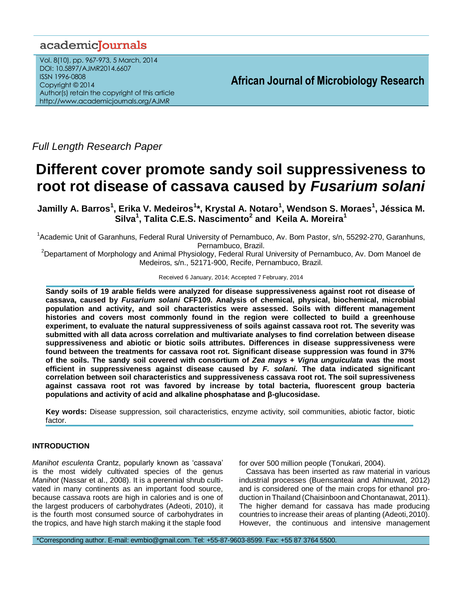# academiclournals

Vol. 8(10), pp. 967-973, 5 March, 2014 DOI: 10.5897/AJMR2014.6607 ISSN 1996-0808 Copyright © 2014 Author(s) retain the copyright of this article http://www.academicjournals.org/AJMR

**African Journal of Microbiology Research**

*Full Length Research Paper*

# **Different cover promote sandy soil suppressiveness to root rot disease of cassava caused by** *Fusarium solani*

**Jamilly A. Barros<sup>1</sup> , Erika V. Medeiros<sup>1</sup> \*, Krystal A. Notaro<sup>1</sup> , Wendson S. Moraes<sup>1</sup> , Jéssica M. Silva<sup>1</sup> , Talita C.E.S. Nascimento<sup>2</sup> and Keila A. Moreira<sup>1</sup>**

<sup>1</sup> Academic Unit of Garanhuns, Federal Rural University of Pernambuco, Av. Bom Pastor, s/n, 55292-270, Garanhuns, Pernambuco, Brazil.

<sup>2</sup>Departament of Morphology and Animal Physiology, Federal Rural University of Pernambuco, Av. Dom Manoel de Medeiros, s/n., 52171-900, Recife, Pernambuco, Brazil.

Received 6 January, 2014; Accepted 7 February, 2014

**Sandy soils of 19 arable fields were analyzed for disease suppressiveness against root rot disease of cassava, caused by** *Fusarium solani* **CFF109. Analysis of chemical, physical, biochemical, microbial population and activity, and soil characteristics were assessed. Soils with different management histories and covers most commonly found in the region were collected to build a greenhouse experiment, to evaluate the natural suppressiveness of soils against cassava root rot. The severity was submitted with all data across correlation and multivariate analyses to find correlation between disease suppressiveness and abiotic or biotic soils attributes. Differences in disease suppressiveness were found between the treatments for cassava root rot. Significant disease suppression was found in 37% of the soils. The sandy soil covered with consortium of** *Zea mays* **+** *Vigna unguiculata* **was the most efficient in suppressiveness against disease caused by** *F. solani.* **The data indicated significant correlation between soil characteristics and suppressiveness cassava root rot. The soil supressiveness against cassava root rot was favored by increase by total bacteria, fluorescent group bacteria populations and activity of acid and alkaline phosphatase and β-glucosidase.**

**Key words:** Disease suppression, soil characteristics, enzyme activity, soil communities, abiotic factor, biotic factor.

# **INTRODUCTION**

*Manihot esculenta* Crantz, popularly known as "cassava" is the most widely cultivated species of the genus *Manihot* (Nassar et al., 2008). It is a perennial shrub cultivated in many continents as an important food source, because cassava roots are high in calories and is one of the largest producers of carbohydrates (Adeoti, 2010), it is the fourth most consumed source of carbohydrates in the tropics, and have high starch making it the staple food

for over 500 million people (Tonukari, 2004).

Cassava has been inserted as raw material in various industrial processes (Buensanteai and Athinuwat, 2012) and is considered one of the main crops for ethanol production in Thailand (Chaisinboon and Chontanawat, 2011). The higher demand for cassava has made producing countries to increase their areas of planting (Adeoti,2010). However, the continuous and intensive management

\*Corresponding author. E-mail: evmbio@gmail.com. Tel: +55-87-9603-8599. Fax: +55 87 3764 5500.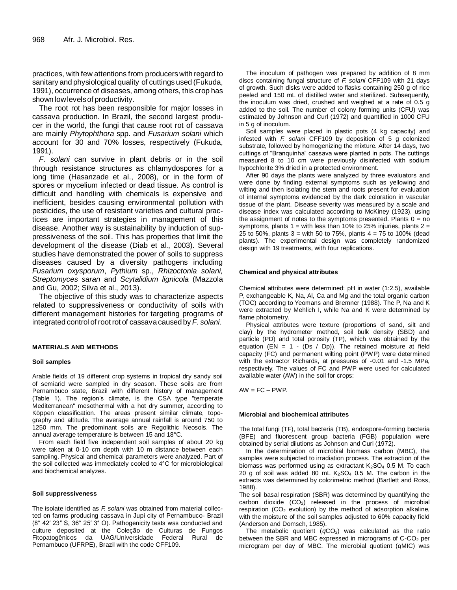practices, with few attentions from producers with regard to sanitary and physiological quality of cuttings used (Fukuda, 1991), occurrence of diseases, among others, this crop has shownlowlevelsof productivity.

The root rot has been responsible for major losses in cassava production. In Brazil, the second largest producer in the world, the fungi that cause root rot of cassava are mainly *Phytophthora* spp. and *Fusarium solani* which account for 30 and 70% losses, respectively (Fukuda, 1991).

*F. solani* can survive in plant debris or in the soil through resistance structures as chlamydospores for a long time (Hasanzade et al., 2008), or in the form of spores or mycelium infected or dead tissue. As control is difficult and handling with chemicals is expensive and inefficient, besides causing environmental pollution with pesticides, the use of resistant varieties and cultural practices are important strategies in management of this disease. Another way is sustainability by induction of suppressiveness of the soil. This has properties that limit the development of the disease (Diab et al., 2003). Several studies have demonstrated the power of soils to suppress diseases caused by a diversity pathogens including *Fusarium oxysporum*, *Pythium* sp., *Rhizoctonia solani, Streptomyces saran* and *Scytalidium lignicola* (Mazzola and Gu, 2002; Silva et al., 2013).

The objective of this study was to characterize aspects related to suppressiveness or conductivity of soils with different management histories for targeting programs of integrated control of root rot of cassavacaused by *F. solani*.

#### **MATERIALS AND METHODS**

#### **Soil samples**

Arable fields of 19 different crop systems in tropical dry sandy soil of semiarid were sampled in dry season. These soils are from Pernambuco state, Brazil with different history of management (Table 1). The region"s climate, is the CSA type "temperate Mediterranean" mesothermal with a hot dry summer, according to Köppen classification. The areas present similar climate, topography and altitude. The average annual rainfall is around 750 to 1250 mm. The predominant soils are Regolithic Neosols. The annual average temperature is between 15 and 18°C.

From each field five independent soil samples of about 20 kg were taken at 0-10 cm depth with 10 m distance between each sampling. Physical and chemical parameters were analyzed. Part of the soil collected was immediately cooled to 4°C for microbiological and biochemical analyzes.

#### **Soil suppressiveness**

The isolate identified as *F. solani* was obtained from material collected on farms producing cassava in Jupi city of Pernambuco- Brazil (8° 42′ 23″ S, 36° 25′ 3″ O). Pathogenicity tests was conducted and culture deposited at the Coleção de Culturas de Fungos Fitopatogênicos da UAG/Universidade Federal Rural de Pernambuco (UFRPE), Brazil with the code CFF109.

The inoculum of pathogen was prepared by addition of 8 mm discs containing fungal structure of *F. solani* CFF109 with 21 days of growth. Such disks were added to flasks containing 250 g of rice peeled and 150 mL of distilled water and sterilized. Subsequently, the inoculum was dried, crushed and weighed at a rate of 0.5 g added to the soil. The number of colony forming units (CFU) was estimated by Johnson and Curl (1972) and quantified in 1000 CFU in 5 g of inoculum.

Soil samples were placed in plastic pots (4 kg capacity) and infested with *F. solani* CFF109 by deposition of 5 g colonized substrate, followed by homogenizing the mixture. After 14 days, two cuttings of "Branquinha" cassava were planted in pots. The cuttings measured 8 to 10 cm were previously disinfected with sodium hypochlorite 3% dried in a protected environment.

After 90 days the plants were analyzed by three evaluators and were done by finding external symptoms such as yellowing and wilting and then isolating the stem and roots present for evaluation of internal symptoms evidenced by the dark coloration in vascular tissue of the plant. Disease severity was measured by a scale and disease index was calculated according to McKiney (1923), using the assignment of notes to the symptoms presented. Plants  $0 = no$ symptoms, plants  $1 =$  with less than 10% to 25% injuries, plants  $2 =$ 25 to 50%, plants  $3 =$  with 50 to 75%, plants  $4 = 75$  to 100% (dead plants). The experimental design was completely randomized design with 19 treatments, with four replications.

#### **Chemical and physical attributes**

Chemical attributes were determined: pH in water (1:2.5), available P, exchangeable K, Na, Al, Ca and Mg and the total organic carbon (TOC) according to Yeomans and Bremner (1988). The P, Na and K were extracted by Mehlich I, while Na and K were determined by flame photometry.

Physical attributes were texture (proportions of sand, silt and clay) by the hydrometer method, soil bulk density (SBD) and particle (PD) and total porosity (TP), which was obtained by the equation (EN =  $1 - (Ds / Dp)$ ). The retained moisture at field capacity (FC) and permanent wilting point (PWP) were determined with the extractor Richards, at pressures of -0.01 and -1.5 MPa, respectively. The values of FC and PWP were used for calculated available water (AW) in the soil for crops:

 $AW = FC - PWP$ .

#### **Microbial and biochemical attributes**

The total fungi (TF), total bacteria (TB), endospore-forming bacteria (BFE) and fluorescent group bacteria (FGB) population were obtained by serial dilutions as Johnson and Curl (1972).

In the determination of microbial biomass carbon (MBC), the samples were subjected to irradiation process. The extraction of the biomass was performed using as extractant  $K_2SO_4$  0.5 M. To each 20 g of soil was added 80 mL  $K_2SO_4$  0.5 M. The carbon in the extracts was determined by colorimetric method (Bartlett and Ross, 1988).

The soil basal respiration (SBR) was determined by quantifying the carbon dioxide  $(CO<sub>2</sub>)$  released in the process of microbial respiration  $(CO<sub>2</sub>$  evolution) by the method of adsorption alkaline, with the moisture of the soil samples adjusted to 60% capacity field (Anderson and Domsch, 1985).

The metabolic quotient  $(qCO<sub>2</sub>)$  was calculated as the ratio between the SBR and MBC expressed in micrograms of  $C-CO<sub>2</sub>$  per microgram per day of MBC. The microbial quotient (*q*MIC) was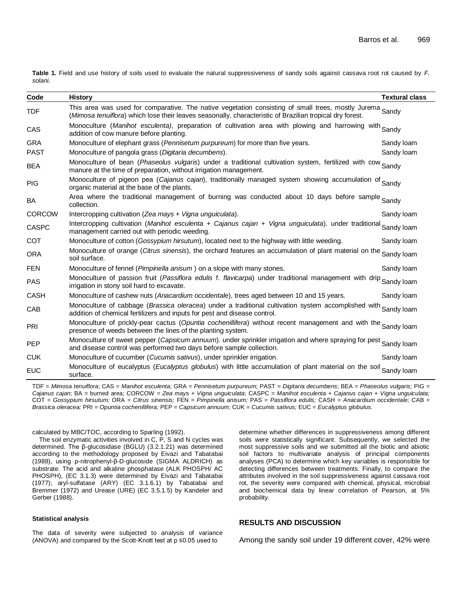**Table 1.** Field and use history of soils used to evaluate the natural suppressiveness of sandy soils against cassava root rot caused by *F. solani.*

| Code          | <b>History</b>                                                                                                                                                                                                       | <b>Textural class</b> |
|---------------|----------------------------------------------------------------------------------------------------------------------------------------------------------------------------------------------------------------------|-----------------------|
| <b>TDF</b>    | This area was used for comparative. The native vegetation consisting of small trees, mostly Jurema Sandy<br>(Mimosa tenuiflora) which lose their leaves seasonally, characteristic of Brazilian tropical dry forest. |                       |
| CAS           | Monoculture (Manihot esculenta), preparation of cultivation area with plowing and harrowing with Sandy<br>addition of cow manure before planting.                                                                    |                       |
| <b>GRA</b>    | Monoculture of elephant grass (Pennisetum purpureum) for more than five years.                                                                                                                                       | Sandy Ioam            |
| <b>PAST</b>   | Monoculture of pangola grass (Digitaria decumbens).                                                                                                                                                                  | Sandy Ioam            |
| <b>BEA</b>    | Monoculture of bean (Phaseolus vulgaris) under a traditional cultivation system, fertilized with cow Sandy<br>manure at the time of preparation, without irrigation management.                                      |                       |
| <b>PIG</b>    | Monoculture of pigeon pea (Cajanus cajan), traditionally managed system showing accumulation of Sandy<br>organic material at the base of the plants.                                                                 |                       |
| <b>BA</b>     | Area where the traditional management of burning was conducted about 10 days before sample Sandy<br>collection.                                                                                                      |                       |
| <b>CORCOW</b> | Intercropping cultivation (Zea mays + Vigna unguiculata).                                                                                                                                                            | Sandy Ioam            |
| <b>CASPC</b>  | Intercropping cultivation (Manihot esculenta + Cajanus cajan + Vigna unguiculata). under traditional Sandy Ioam<br>management carried out with periodic weeding.                                                     |                       |
| <b>COT</b>    | Monoculture of cotton (Gossypium hirsutum), located next to the highway with little weeding.                                                                                                                         | Sandy Ioam            |
| <b>ORA</b>    | Monoculture of orange (Citrus sinensis), the orchard features an accumulation of plant material on the Sandy loam<br>soil surface.                                                                                   |                       |
| <b>FEN</b>    | Monoculture of fennel (Pimpinella anisum) on a slope with many stones.                                                                                                                                               | Sandy Ioam            |
| <b>PAS</b>    | Monoculture of passion fruit (Passiflora edulis f. flavicarpa) under traditional management with drip Sandy loam<br>irrigation in stony soil hard to excavate.                                                       |                       |
| <b>CASH</b>   | Monoculture of cashew nuts (Anacardium occidentale), trees aged between 10 and 15 years.                                                                                                                             | Sandy Ioam            |
| CAB           | Monoculture of cabbage (Brassica oleracea) under a traditional cultivation system accomplished with Sandy Ioam<br>addition of chemical fertilizers and inputs for pest and disease control.                          |                       |
| PRI           | Monoculture of prickly-pear cactus (Opuntia cochenillifera) without recent management and with the Sandy loam<br>presence of weeds between the lines of the planting system.                                         |                       |
| <b>PEP</b>    | Monoculture of sweet pepper (Capsicum annuum). under sprinkler irrigation and where spraying for pest Sandy loam<br>and disease control was performed two days before sample collection.                             |                       |
| <b>CUK</b>    | Monoculture of cucumber (Cucumis sativus), under sprinkler irrigation.                                                                                                                                               | Sandy Ioam            |
| <b>EUC</b>    | Monoculture of eucalyptus (Eucalyptus globulus) with little accumulation of plant material on the soil Sandy loam<br>surface.                                                                                        |                       |
|               |                                                                                                                                                                                                                      |                       |

TDF = *Mimosa tenuiflora*; CAS = *Manihot esculenta*; GRA = *Pennisetum purpureum*; PAST = *Digitaria decumbens*; BEA = *Phaseolus vulgaris*; PIG = *Cajanus cajan*; BA = burned area; CORCOW = *Zea mays + Vigna unguiculata*; CASPC = *Manihot esculenta* + *Cajanus cajan* + *Vigna unguiculata;*  COT = *Gossypium hirsutum;* ORA = *Citrus sinensis;* FEN = *Pimpinella anisum;* PAS = *Passiflora edulis;* CASH = *Anacardium occidentale;* CAB *= Brassica oleracea;* PRI = *Opuntia cochenillifera;* PEP = *Capsicum annuum;* CUK = *Cucumis sativus;* EUC = *Eucalyptus globulus.*

calculated by MBC/TOC, according to Sparling (1992).

The soil enzymatic activities involved in C, P, S and N cycles was determined. The β-glucosidase (BGLU) (3.2.1.21) was determined according to the methodology proposed by Eivazi and Tabatabai (1988), using ρ-nitrophenyl-β-D-glucoside (SIGMA ALDRICH) as substrate. The acid and alkaline phosphatase (ALK PHOSPH/ AC PHOSPH), (EC 3.1.3) were determined by Eivazi and Tabatabai (1977); aryl-sulfatase (ARY) (EC 3.1.6.1) by Tabatabai and Bremmer (1972) and Urease (URE) (EC 3.5.1.5) by Kandeler and Gerber (1988).

#### **Statistical analysis**

The data of severity were subjected to analysis of variance (ANOVA) and compared by the Scott-Knott test at p ≤0.05 used to

#### soils were statistically significant. Subsequently, we selected the most suppressive soils and we submitted all the biotic and abiotic soil factors to multivariate analysis of principal components analyses (PCA) to determine which key variables is responsible for detecting differences between treatments. Finally, to compare the attributes involved in the soil suppressiveness against cassava root rot, the severity were compared with chemical, physical, microbial and biochemical data by linear correlation of Pearson, at 5% probability.

determine whether differences in suppressiveness among different

# **RESULTS AND DISCUSSION**

Among the sandy soil under 19 different cover, 42% were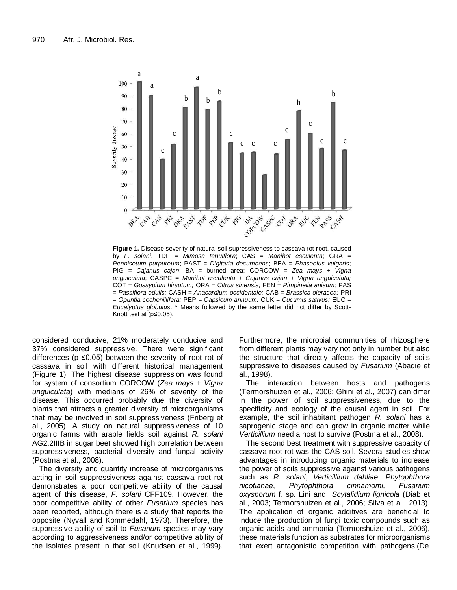

**Figure 1.** Disease severity of natural soil supressiveness to cassava rot root, caused by *F. solani*. TDF = *Mimosa tenuiflora*; CAS = *Manihot esculenta*; GRA = *Pennisetum purpureum*; PAST = *Digitaria decumbens*; BEA = *Phaseolus vulgaris*; PIG = *Cajanus cajan*; BA = burned area; CORCOW = *Zea mays + Vigna unguiculata*; CASPC = *Manihot esculenta* + *Cajanus cajan* + *Vigna unguiculata;*  COT = *Gossypium hirsutum;* ORA = *Citrus sinensis;* FEN = *Pimpinella anisum;* PAS = *Passiflora edulis;* CASH = *Anacardium occidentale;* CAB *= Brassica oleracea;* PRI = *Opuntia cochenillifera;* PEP = *Capsicum annuum;* CUK = *Cucumis sativus;* EUC = *Eucalyptus globulus*. \* Means followed by the same letter did not differ by Scott-Knott test at (p≤0.05).

considered conducive, 21% moderately conducive and 37% considered suppressive. There were significant differences ( $p \le 0.05$ ) between the severity of root rot of cassava in soil with different historical management (Figure 1). The highest disease suppression was found for system of consortium CORCOW (*Zea mays + Vigna unguiculata*) with medians of 26% of severity of the disease. This occurred probably due the diversity of plants that attracts a greater diversity of microorganisms that may be involved in soil suppressiveness (Friberg et al., 2005). A study on natural suppressiveness of 10 organic farms with arable fields soil against *R. solani* AG2.2IIIB in sugar beet showed high correlation between suppressiveness, bacterial diversity and fungal activity (Postma et al., 2008).

The diversity and quantity increase of microorganisms acting in soil suppressiveness against cassava root rot demonstrates a poor competitive ability of the causal agent of this disease, *F. solani* CFF109. However, the poor competitive ability of other *Fusarium* species has been reported, although there is a study that reports the opposite (Nyvall and Kommedahl, 1973). Therefore, the suppressive ability of soil to *Fusarium* species may vary according to aggressiveness and/or competitive ability of the isolates present in that soil (Knudsen et al., 1999). Furthermore, the microbial communities of rhizosphere from different plants may vary not only in number but also the structure that directly affects the capacity of soils suppressive to diseases caused by *Fusarium* (Abadie et al., 1998).

The interaction between hosts and pathogens (Termorshuizen et al., 2006; Ghini et al., 2007) can differ in the power of soil suppressiveness, due to the specificity and ecology of the causal agent in soil. For example, the soil inhabitant pathogen *R. solani* has a saprogenic stage and can grow in organic matter while *Verticillium* need a host to survive (Postma et al., 2008).

The second best treatment with suppressive capacity of cassava root rot was the CAS soil. Several studies show advantages in introducing organic materials to increase the power of soils suppressive against various pathogens such as *R. solani*, *Verticillium dahliae*, *Phytophthora nicotianae*, *Phytophthora cinnamomi, Fusarium oxysporum* f. sp. Lini and *Scytalidium lignicola* (Diab et al., 2003; Termorshuizen et al., 2006; Silva et al., 2013). The application of organic additives are beneficial to induce the production of fungi toxic compounds such as organic acids and ammonia (Termorshuize et al., 2006), these materials function as substrates for microorganisms that exert antagonistic competition with pathogens (De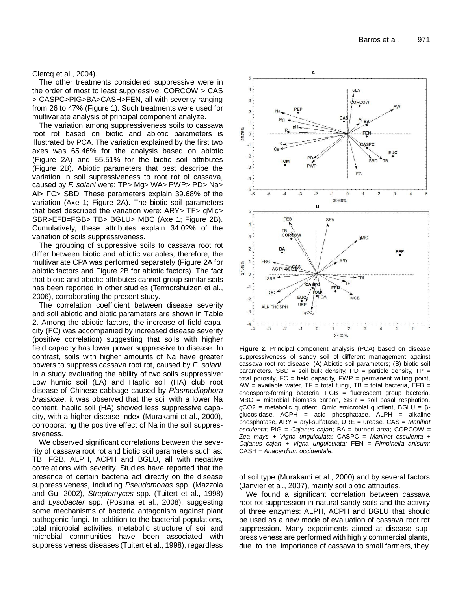Clercq et al., 2004).

The other treatments considered suppressive were in the order of most to least suppressive: CORCOW > CAS > CASPC>PIG>BA>CASH>FEN, all with severity ranging from 26 to 47% (Figure 1). Such treatments were used for multivariate analysis of principal component analyze.

The variation among suppressiveness soils to cassava root rot based on biotic and abiotic parameters is illustrated by PCA. The variation explained by the first two axes was 65.46% for the analysis based on abiotic (Figure 2A) and 55.51% for the biotic soil attributes (Figure 2B). Abiotic parameters that best describe the variation in soil supressiveness to root rot of cassava, caused by *F. solani* were: TP> Mg> WA> PWP> PD> Na> Al> FC> SBD. These parameters explain 39.68% of the variation (Axe 1; Figure 2A). The biotic soil parameters that best described the variation were: ARY> TF> qMic> SBR>EFB=FGB> TB> BGLU> MBC (Axe 1; Figure 2B). Cumulatively, these attributes explain 34.02% of the variation of soils suppressiveness.

The grouping of suppressive soils to cassava root rot differ between biotic and abiotic variables, therefore, the multivariate CPA was performed separately (Figure 2A for abiotic factors and Figure 2B for abiotic factors). The fact that biotic and abiotic attributes cannot group similar soils has been reported in other studies (Termorshuizen et al., 2006), corroborating the present study.

The correlation coefficient between disease severity and soil abiotic and biotic parameters are shown in Table 2. Among the abiotic factors, the increase of field capacity (FC) was accompanied by increased disease severity (positive correlation) suggesting that soils with higher field capacity has lower power suppressive to disease. In contrast, soils with higher amounts of Na have greater powers to suppress cassava root rot, caused by *F. solani*. In a study evaluating the ability of two soils suppressive: Low humic soil (LA) and Haplic soil (HA) club root disease of Chinese cabbage caused by *Plasmodiophora brassicae*, it was observed that the soil with a lower Na content, haplic soil (HA) showed less suppressive capacity, with a higher disease index (Murakami et al., 2000), corroborating the positive effect of Na in the soil suppressiveness.

We observed significant correlations between the severity of cassava root rot and biotic soil parameters such as: TB, FGB, ALPH, ACPH and BGLU, all with negative correlations with severity. Studies have reported that the presence of certain bacteria act directly on the disease suppressiveness, including *Pseudomonas* spp. (Mazzola and Gu, 2002), *Streptomyces* spp. (Tuitert et al., 1998) and *Lysobacter* spp. (Postma et al., 2008), suggesting some mechanisms of bacteria antagonism against plant pathogenic fungi. In addition to the bacterial populations, total microbial activities, metabolic structure of soil and microbial communities have been associated with suppressiveness diseases (Tuitert et al., 1998), regardless



**Figure 2.** Principal component analysis (PCA) based on disease suppressiveness of sandy soil of different management against cassava root rot disease. (A) Abiotic soil parameters; (B) biotic soil parameters. SBD = soil bulk density,  $PD =$  particle density,  $TP =$ total porosity,  $FC = field capacity$ ,  $PWP = permanent$  wilting point, AW = available water,  $TF = total fungi$ ,  $TB = total bacteria$ ,  $EFB =$ endospore-forming bacteria, FGB = fluorescent group bacteria,  $MBC$  = microbial biomass carbon,  $SBR$  = soil basal respiration, *q*CO2 = metabolic quotient, Qmic =microbial quotient, BGLU = βglucosidase, ACPH = acid phosphatase, ALPH = alkaline phosphatase, ARY = aryl-sulfatase, URE = urease. CAS = *Manihot esculenta*; PIG = *Cajanus cajan*; BA = burned area; CORCOW = *Zea mays + Vigna unguiculata*; CASPC = *Manihot esculenta* + *Cajanus cajan* + *Vigna unguiculata;* FEN = *Pimpinella anisum;* CASH = *Anacardium occidentale.*

of soil type (Murakami et al., 2000) and by several factors (Janvier et al., 2007), mainly soil biotic attributes.

We found a significant correlation between cassava root rot suppression in natural sandy soils and the activity of three enzymes: ALPH, ACPH and BGLU that should be used as a new mode of evaluation of cassava root rot suppression. Many experiments aimed at disease suppressiveness are performed with highly commercial plants, due to the importance of cassava to small farmers, they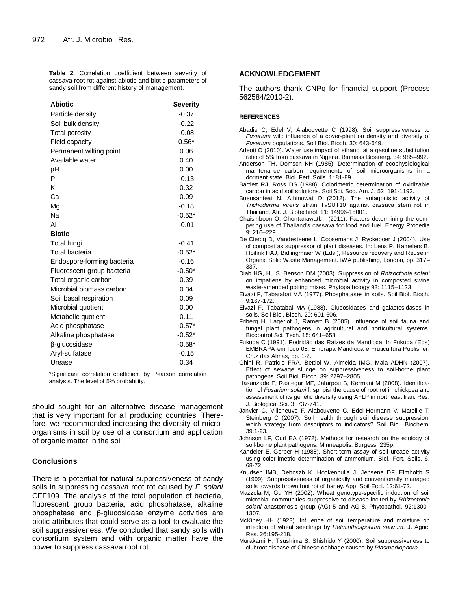**Table 2.** Correlation coefficient between severity of cassava root rot against abiotic and biotic parameters of sandy soil from different history of management.

| <b>Abiotic</b>                            | <b>Severity</b> |  |
|-------------------------------------------|-----------------|--|
| Particle density                          | $-0.37$         |  |
| Soil bulk density                         | $-0.22$         |  |
| <b>Total porosity</b>                     | $-0.08$         |  |
|                                           | $0.56*$         |  |
| Field capacity<br>Permanent wilting point | 0.06            |  |
| Available water                           | 0.40            |  |
|                                           |                 |  |
| рH                                        | 0.00            |  |
| P                                         | $-0.13$         |  |
| κ                                         | 0.32            |  |
| Ca                                        | 0.09            |  |
| Mg                                        | $-0.18$         |  |
| Na                                        | $-0.52*$        |  |
| AI                                        | $-0.01$         |  |
| <b>Biotic</b>                             |                 |  |
| Total fungi                               | $-0.41$         |  |
| Total bacteria                            | $-0.52*$        |  |
| Endospore-forming bacteria                | $-0.16$         |  |
| Fluorescent group bacteria                | $-0.50*$        |  |
| Total organic carbon                      | 0.39            |  |
| Microbial biomass carbon                  | 0.34            |  |
| Soil basal respiration                    | 0.09            |  |
| Microbial quotient                        | 0.00            |  |
| Metabolic quotient                        | 0.11            |  |
| Acid phosphatase                          | $-0.57*$        |  |
| Alkaline phosphatase                      | $-0.52*$        |  |
| β-glucosidase                             | $-0.58*$        |  |
| Aryl-sulfatase                            | $-0.15$         |  |
| Urease                                    | 0.34            |  |

\*Significant correlation coefficient by Pearson correlation analysis. The level of 5% probability.

should sought for an alternative disease management that is very important for all producing countries. Therefore, we recommended increasing the diversity of microorganisms in soil by use of a consortium and application of organic matter in the soil.

# **Conclusions**

There is a potential for natural suppressiveness of sandy soils in suppressing cassava root rot caused by *F. solani* CFF109. The analysis of the total population of bacteria, fluorescent group bacteria, acid phosphatase, alkaline phosphatase and β-glucosidase enzyme activities are biotic attributes that could serve as a tool to evaluate the soil suppressiveness. We concluded that sandy soils with consortium system and with organic matter have the power to suppress cassava root rot.

# **ACKNOWLEDGEMENT**

The authors thank CNPq for financial support (Process 562584/2010-2).

# **REFERENCES**

Abadie C, Edel V, Alabouvette C (1998). Soil suppressiveness to *Fusarium* wilt: influence of a cover-plant on density and diversity of *Fusarium* populations. Soil Biol. Bioch. 30: 643-649.

Adeoti O (2010). Water use impact of ethanol at a gasoline substitution ratio of 5% from cassava in Nigeria. Biomass Bioenerg. 34: 985–992.

- Anderson TH, Domsch KH (1985). Determination of ecophysiological maintenance carbon requirements of soil microorganisms in a dormant state. Biol. Fert. Soils. 1: 81-89.
- Bartlett RJ, Ross DS (1988). Colorimetric determination of oxidizable carbon in acid soil solutions. Soil Sci. Soc. Am. J. 52: 191-1192.
- Buensanteai N, Athinuwat D (2012). The antagonistic activity of *Trichoderma virens* strain TvSUT10 against cassava stem rot in Thailand. Afr. J. Biotechnol. 11: 14996-15001.
- Chaisinboon O, Chontanawatb I (2011). Factors determining the competing use of Thailand"s cassava for food and fuel. Energy Procedia 9: 216–229.
- De Clercq D, Vandesteene L, Coosemans J, Ryckeboer J (2004). Use of compost as suppressor of plant diseases. In: Lens P, Hamelers B, Hoitink HAJ, Bidlingmaier W (Eds.), Resource recovery and Reuse in Organic Solid Waste Management. IWA publishing, London, pp. 317– 337.
- Diab HG, Hu S, Benson DM (2003). Suppression of *Rhizoctonia solani*  on impatiens by enhanced microbial activity in composted swine waste-amended potting mixes. Phytopathology 93: 1115–1123.

Eivazi F, Tabatabai MA (1977). Phosphatases in soils. Soil Biol. Bioch. 9:167-172.

- Eivazi F, Tabatabai MA (1988). Glucosidases and galactosidases in soils. Soil Biol. Bioch. 20: 601-606.
- Friberg H, Lagerlof J, Ramert B (2005). Influence of soil fauna and fungal plant pathogens in agricultural and horticultural systems. Biocontrol Sci. Tech. 15: 641–658.
- Fukuda C (1991). Podridão das Raízes da Mandioca. In Fukuda (Eds) EMBRAPA em foco 08, Embrapa Mandioca e Fruticultura Publisher, Cruz das Almas, pp. 1-2.
- Ghini R, Patricio FRA, Bettiol W, Almeida IMG, Maia ADHN (2007). Effect of sewage sludge on suppressiveness to soil-borne plant pathogens. Soil Biol. Bioch. 39: 2797–2805.
- Hasanzade F, Rastegar MF, Jafarpou B, Kermani M (2008). Identification of *Fusarium solani* f. sp. pisi the cause of root rot in chickpea and assessment of its genetic diversity using AFLP in northeast Iran. Res. J. Biological Sci. 3: 737-741.
- Janvier C, Villeneuve F, Alabouvette C, Edel-Hermann V, Mateille T, Steinberg C (2007). Soil health through soil disease suppression: which strategy from descriptors to indicators? Soil Biol. Biochem. 39:1-23.
- Johnson LF, Curl EA (1972). Methods for research on the ecology of soil-borne plant pathogens. Minneapolis: Burgess. 235p.
- Kandeler E, Gerber H (1988). Short-term assay of soil urease activity using color-imetric determination of ammonium. Biol. Fert. Soils. 6: 68-72.
- Knudsen IMB, Deboszb K, Hockenhulla J, Jensena DF, Elmholtb S (1999). Suppressiveness of organically and conventionally managed soils towards brown foot rot of barley. App. Soil Ecol. 12:61-72.
- Mazzola M, Gu YH (2002). Wheat genotype-specific induction of soil microbial communities suppressive to disease incited by *Rhizoctonia solani* anastomosis group (AG)-5 and AG-8. Phytopathol. 92:1300– 1307.
- McKiney HH (1923). Influence of soil temperature and moisture on infection of wheat seedlings by *Helminthosporium sativum.* J. Agric. Res. 26:195-218.
- Murakami H, Tsushima S, Shishido Y (2000). Soil suppressiveness to clubroot disease of Chinese cabbage caused by *Plasmodiophora*